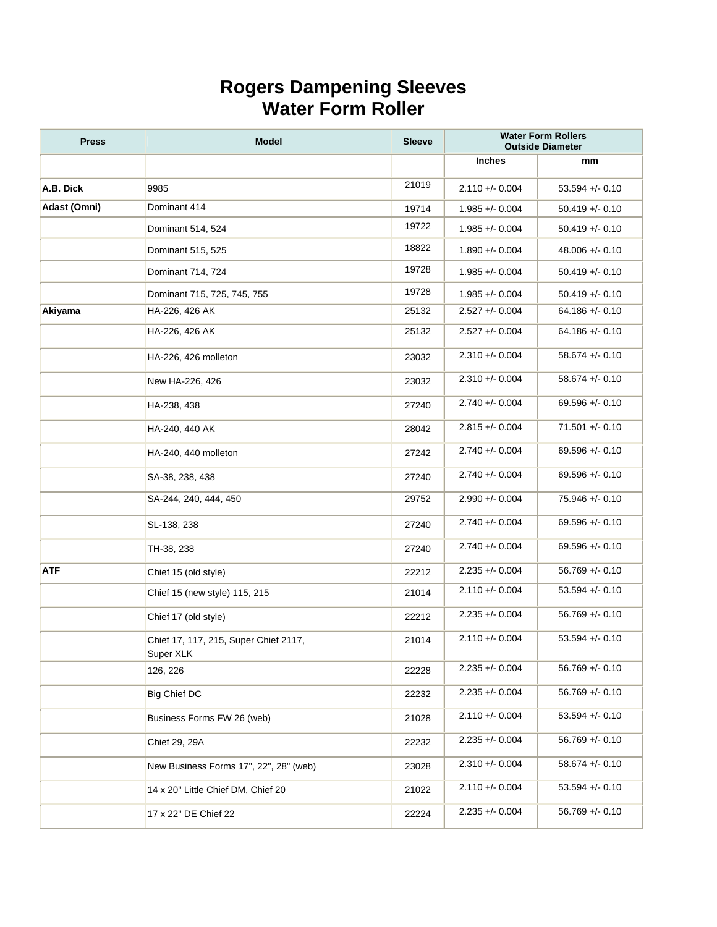## **Rogers Dampening Sleeves Water Form Roller**

| <b>Press</b> | <b>Model</b>                                       | <b>Sleeve</b> |                   | <b>Water Form Rollers</b><br><b>Outside Diameter</b> |
|--------------|----------------------------------------------------|---------------|-------------------|------------------------------------------------------|
|              |                                                    |               | <b>Inches</b>     | mm                                                   |
| A.B. Dick    | 9985                                               | 21019         | $2.110 + 0.004$   | $53.594 + - 0.10$                                    |
| Adast (Omni) | Dominant 414                                       | 19714         | $1.985 + 0.004$   | $50.419 + - 0.10$                                    |
|              | Dominant 514, 524                                  | 19722         | $1.985 + 0.004$   | $50.419 + - 0.10$                                    |
|              | Dominant 515, 525                                  | 18822         | $1.890 + - 0.004$ | $48.006 + - 0.10$                                    |
|              | Dominant 714, 724                                  | 19728         | $1.985 + 0.004$   | $50.419 + - 0.10$                                    |
|              | Dominant 715, 725, 745, 755                        | 19728         | $1.985 + 0.004$   | $50.419 + - 0.10$                                    |
| Akiyama      | HA-226, 426 AK                                     | 25132         | $2.527 + 0.004$   | $64.186 + - 0.10$                                    |
|              | HA-226, 426 AK                                     | 25132         | $2.527 + 0.004$   | $64.186 +/- 0.10$                                    |
|              | HA-226, 426 molleton                               | 23032         | $2.310 + 0.004$   | $58.674 + - 0.10$                                    |
|              | New HA-226, 426                                    | 23032         | $2.310 + 0.004$   | $58.674 +/- 0.10$                                    |
|              | HA-238, 438                                        | 27240         | $2.740 + - 0.004$ | $69.596 + - 0.10$                                    |
|              | HA-240, 440 AK                                     | 28042         | $2.815 + 0.004$   | $71.501 + - 0.10$                                    |
|              | HA-240, 440 molleton                               | 27242         | $2.740 + - 0.004$ | $69.596 + - 0.10$                                    |
|              | SA-38, 238, 438                                    | 27240         | $2.740 + - 0.004$ | $69.596 +/- 0.10$                                    |
|              | SA-244, 240, 444, 450                              | 29752         | $2.990 + 0.004$   | $75.946 + - 0.10$                                    |
|              | SL-138, 238                                        | 27240         | $2.740 + - 0.004$ | $69.596 + - 0.10$                                    |
|              | TH-38, 238                                         | 27240         | $2.740 + - 0.004$ | $69.596 + - 0.10$                                    |
| <b>ATF</b>   | Chief 15 (old style)                               | 22212         | $2.235 + 0.004$   | $56.769 + - 0.10$                                    |
|              | Chief 15 (new style) 115, 215                      | 21014         | $2.110 + 0.004$   | $53.594 + - 0.10$                                    |
|              | Chief 17 (old style)                               | 22212         | $2.235 + 0.004$   | $56.769 + - 0.10$                                    |
|              | Chief 17, 117, 215, Super Chief 2117,<br>Super XLK | 21014         | $2.110 + 0.004$   | $53.594 + - 0.10$                                    |
|              | 126, 226                                           | 22228         | $2.235 + 0.004$   | $56.769 + - 0.10$                                    |
|              | <b>Big Chief DC</b>                                | 22232         | $2.235 + 0.004$   | $56.769 + - 0.10$                                    |
|              | Business Forms FW 26 (web)                         | 21028         | $2.110 + 0.004$   | $53.594 + - 0.10$                                    |
|              | Chief 29, 29A                                      | 22232         | $2.235 + 0.004$   | $56.769 + - 0.10$                                    |
|              | New Business Forms 17", 22", 28" (web)             | 23028         | $2.310 + - 0.004$ | $58.674 +/- 0.10$                                    |
|              | 14 x 20" Little Chief DM, Chief 20                 | 21022         | $2.110 + - 0.004$ | $53.594 + - 0.10$                                    |
|              | 17 x 22" DE Chief 22                               | 22224         | $2.235 + 0.004$   | $56.769 + - 0.10$                                    |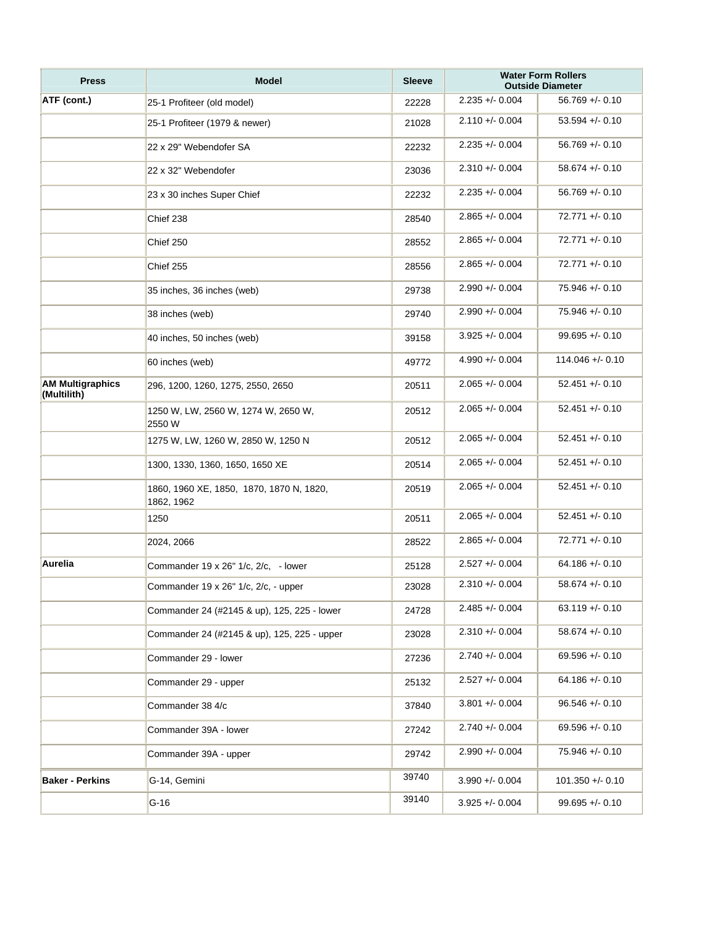| <b>Press</b>                           | <b>Model</b>                                           | <b>Sleeve</b> |                   | <b>Water Form Rollers</b><br><b>Outside Diameter</b> |
|----------------------------------------|--------------------------------------------------------|---------------|-------------------|------------------------------------------------------|
| ATF (cont.)                            | 25-1 Profiteer (old model)                             | 22228         | $2.235 + 0.004$   | $56.769 + - 0.10$                                    |
|                                        | 25-1 Profiteer (1979 & newer)                          | 21028         | $2.110 + - 0.004$ | $53.594 + - 0.10$                                    |
|                                        | 22 x 29" Webendofer SA                                 | 22232         | $2.235 + 0.004$   | $56.769 + - 0.10$                                    |
|                                        | 22 x 32" Webendofer                                    | 23036         | $2.310 + 0.004$   | $58.674 + - 0.10$                                    |
|                                        | 23 x 30 inches Super Chief                             | 22232         | $2.235 + 0.004$   | $56.769 + - 0.10$                                    |
|                                        | Chief 238                                              | 28540         | $2.865 + 0.004$   | $72.771 + (-0.10)$                                   |
|                                        | Chief 250                                              | 28552         | $2.865 + - 0.004$ | $72.771 + - 0.10$                                    |
|                                        | Chief 255                                              | 28556         | $2.865 + 0.004$   | $72.771 + (-0.10)$                                   |
|                                        | 35 inches, 36 inches (web)                             | 29738         | $2.990 +/- 0.004$ | $75.946 + - 0.10$                                    |
|                                        | 38 inches (web)                                        | 29740         | $2.990 +/- 0.004$ | $75.946 + - 0.10$                                    |
|                                        | 40 inches, 50 inches (web)                             | 39158         | $3.925 + 0.004$   | $99.695 + - 0.10$                                    |
|                                        | 60 inches (web)                                        | 49772         | $4.990 +/- 0.004$ | $114.046 + - 0.10$                                   |
| <b>AM Multigraphics</b><br>(Multilith) | 296, 1200, 1260, 1275, 2550, 2650                      | 20511         | $2.065 + 0.004$   | $52.451 +/- 0.10$                                    |
|                                        | 1250 W, LW, 2560 W, 1274 W, 2650 W,<br>2550 W          | 20512         | $2.065 +/- 0.004$ | $52.451 + - 0.10$                                    |
|                                        | 1275 W, LW, 1260 W, 2850 W, 1250 N                     | 20512         | $2.065 + - 0.004$ | $52.451 +/- 0.10$                                    |
|                                        | 1300, 1330, 1360, 1650, 1650 XE                        | 20514         | $2.065 +/- 0.004$ | $52.451 + - 0.10$                                    |
|                                        | 1860, 1960 XE, 1850, 1870, 1870 N, 1820,<br>1862, 1962 | 20519         | $2.065 +/- 0.004$ | $52.451 + - 0.10$                                    |
|                                        | 1250                                                   | 20511         | $2.065 +/- 0.004$ | $52.451 +/- 0.10$                                    |
|                                        | 2024, 2066                                             | 28522         | $2.865 + 0.004$   | $72.771 + - 0.10$                                    |
| Aurelia                                | Commander 19 x 26" 1/c, 2/c, - lower                   | 25128         | $2.527 + - 0.004$ | $64.186 + (-0.10)$                                   |
|                                        | Commander 19 x 26" 1/c, 2/c, - upper                   | 23028         | $2.310 + 0.004$   | $58.674 + - 0.10$                                    |
|                                        | Commander 24 (#2145 & up), 125, 225 - lower            | 24728         | $2.485 + - 0.004$ | $63.119 + - 0.10$                                    |
|                                        | Commander 24 (#2145 & up), 125, 225 - upper            | 23028         | $2.310 +/- 0.004$ | $58.674 + - 0.10$                                    |
|                                        | Commander 29 - lower                                   | 27236         | $2.740 + - 0.004$ | $69.596 + - 0.10$                                    |
|                                        | Commander 29 - upper                                   | 25132         | $2.527 + 0.004$   | $64.186 + - 0.10$                                    |
|                                        | Commander 38 4/c                                       | 37840         | $3.801 +/- 0.004$ | $96.546 + - 0.10$                                    |
|                                        | Commander 39A - lower                                  | 27242         | $2.740 +/- 0.004$ | $69.596 + - 0.10$                                    |
|                                        | Commander 39A - upper                                  | 29742         | $2.990 +/- 0.004$ | 75.946 +/- 0.10                                      |
| <b>Baker - Perkins</b>                 | G-14, Gemini                                           | 39740         | $3.990 + - 0.004$ | $101.350 + - 0.10$                                   |
|                                        | $G-16$                                                 | 39140         | $3.925 + - 0.004$ | $99.695 + - 0.10$                                    |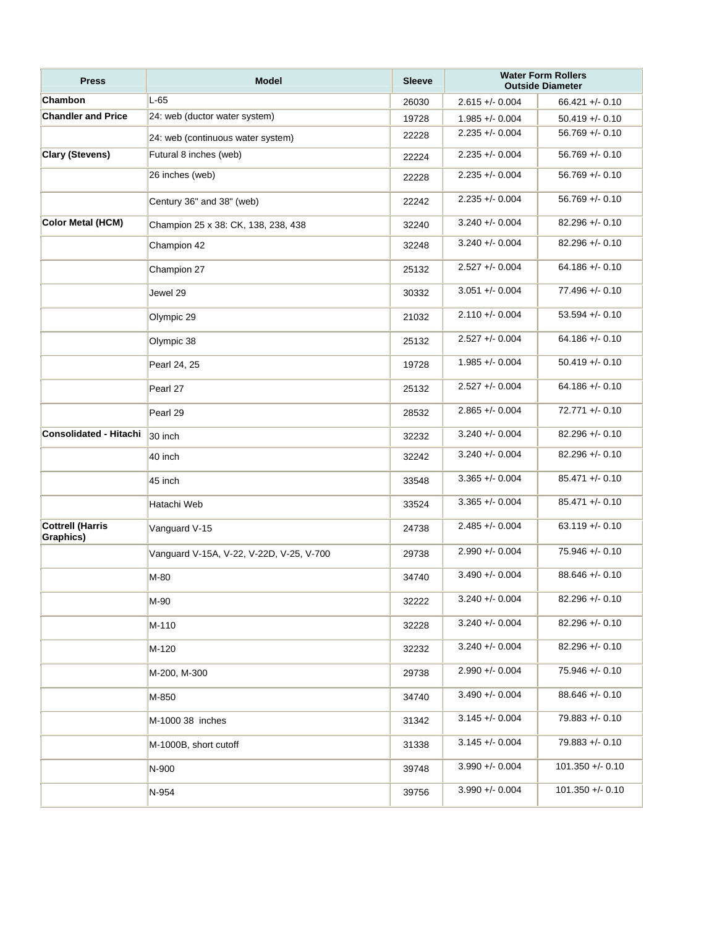| <b>Press</b>                         | <b>Model</b>                             | <b>Sleeve</b> |                   | <b>Water Form Rollers</b><br><b>Outside Diameter</b> |
|--------------------------------------|------------------------------------------|---------------|-------------------|------------------------------------------------------|
| Chambon                              | $L-65$                                   | 26030         | $2.615 + -0.004$  | $66.421 +/- 0.10$                                    |
| <b>Chandler and Price</b>            | 24: web (ductor water system)            | 19728         | $1.985 + 0.004$   | $50.419 + - 0.10$                                    |
|                                      | 24: web (continuous water system)        | 22228         | $2.235 + 0.004$   | $56.769 + - 0.10$                                    |
| <b>Clary (Stevens)</b>               | Futural 8 inches (web)                   | 22224         | $2.235 + 0.004$   | $56.769 + - 0.10$                                    |
|                                      | 26 inches (web)                          | 22228         | $2.235 + 0.004$   | $56.769 + - 0.10$                                    |
|                                      | Century 36" and 38" (web)                | 22242         | $2.235 + 0.004$   | $56.769 + - 0.10$                                    |
| <b>Color Metal (HCM)</b>             | Champion 25 x 38: CK, 138, 238, 438      | 32240         | $3.240 + - 0.004$ | $82.296 + - 0.10$                                    |
|                                      | Champion 42                              | 32248         | $3.240 + - 0.004$ | $82.296 +/- 0.10$                                    |
|                                      | Champion 27                              | 25132         | $2.527 + - 0.004$ | $64.186 + - 0.10$                                    |
|                                      | Jewel 29                                 | 30332         | $3.051 + - 0.004$ | $77.496 + - 0.10$                                    |
|                                      | Olympic 29                               | 21032         | $2.110 + - 0.004$ | $53.594 + - 0.10$                                    |
|                                      | Olympic 38                               | 25132         | $2.527 + - 0.004$ | $64.186 + - 0.10$                                    |
|                                      | Pearl 24, 25                             | 19728         | $1.985 + 0.004$   | $50.419 + - 0.10$                                    |
|                                      | Pearl 27                                 | 25132         | $2.527 + - 0.004$ | $64.186 + (-0.10)$                                   |
|                                      | Pearl 29                                 | 28532         | $2.865 + 0.004$   | $72.771 + (-0.10)$                                   |
| <b>Consolidated - Hitachi</b>        | 30 inch                                  | 32232         | $3.240 + - 0.004$ | $82.296 + - 0.10$                                    |
|                                      | 40 inch                                  | 32242         | $3.240 + - 0.004$ | $82.296 + - 0.10$                                    |
|                                      | 45 inch                                  | 33548         | $3.365 + - 0.004$ | $85.471 + - 0.10$                                    |
|                                      | Hatachi Web                              | 33524         | $3.365 + - 0.004$ | $85.471 + - 0.10$                                    |
| <b>Cottrell (Harris</b><br>Graphics) | Vanguard V-15                            | 24738         | $2.485 + - 0.004$ | $63.119 + - 0.10$                                    |
|                                      | Vanguard V-15A, V-22, V-22D, V-25, V-700 | 29738         | $2.990 + 0.004$   | $75.946 + - 0.10$                                    |
|                                      | M-80                                     | 34740         | $3.490 + - 0.004$ | $88.646 + - 0.10$                                    |
|                                      | M-90                                     | 32222         | $3.240 + 0.004$   | $82.296 + - 0.10$                                    |
|                                      | M-110                                    | 32228         | $3.240 + 0.004$   | $82.296 + - 0.10$                                    |
|                                      | M-120                                    | 32232         | $3.240 + 0.004$   | $82.296 + - 0.10$                                    |
|                                      | M-200, M-300                             | 29738         | $2.990 + 0.004$   | $75.946 + - 0.10$                                    |
|                                      | M-850                                    | 34740         | $3.490 + - 0.004$ | $88.646 + (-0.10)$                                   |
|                                      | M-1000 38 inches                         | 31342         | $3.145 + - 0.004$ | $79.883 + 0.10$                                      |
|                                      | M-1000B, short cutoff                    | 31338         | $3.145 + - 0.004$ | $79.883 + 0.10$                                      |
|                                      | N-900                                    | 39748         | $3.990 + - 0.004$ | $101.350 + - 0.10$                                   |
|                                      | N-954                                    | 39756         | $3.990 + - 0.004$ | $101.350 +/- 0.10$                                   |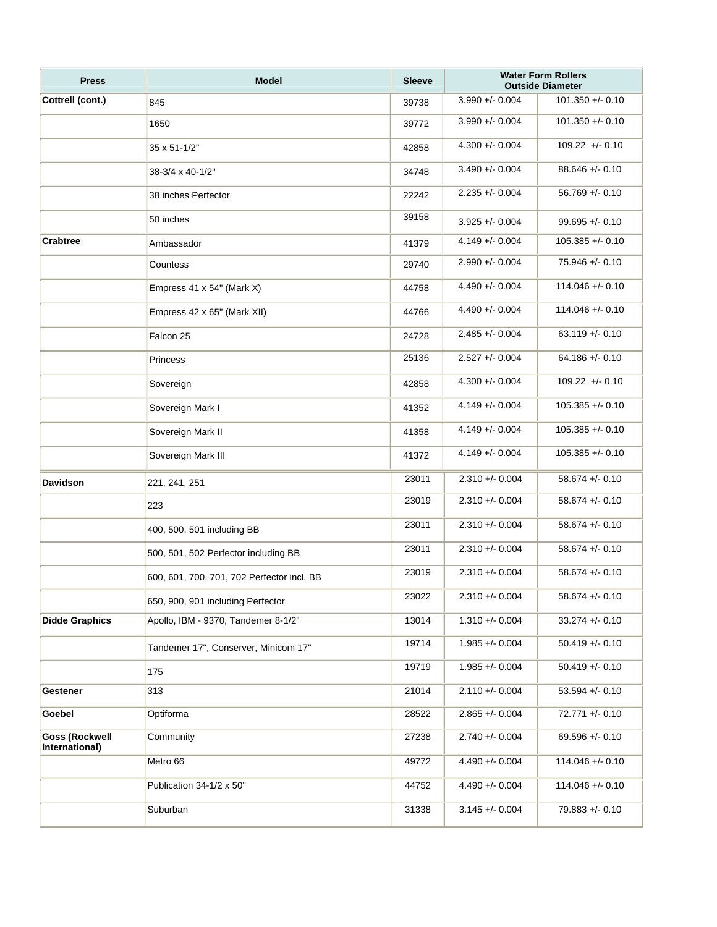| <b>Press</b>                            | <b>Model</b>                               | <b>Sleeve</b> | <b>Water Form Rollers</b><br><b>Outside Diameter</b> |                    |  |
|-----------------------------------------|--------------------------------------------|---------------|------------------------------------------------------|--------------------|--|
| Cottrell (cont.)                        | 845                                        | 39738         | $3.990 + 0.004$                                      | $101.350 + -0.10$  |  |
|                                         | 1650                                       | 39772         | $3.990 + - 0.004$                                    | $101.350 +/- 0.10$ |  |
|                                         | 35 x 51-1/2"                               | 42858         | $4.300 + - 0.004$                                    | $109.22 + - 0.10$  |  |
|                                         | 38-3/4 x 40-1/2"                           | 34748         | $3.490 + - 0.004$                                    | $88.646 + - 0.10$  |  |
|                                         | 38 inches Perfector                        | 22242         | $2.235 + 0.004$                                      | $56.769 +/- 0.10$  |  |
|                                         | 50 inches                                  | 39158         | $3.925 + 0.004$                                      | $99.695 + - 0.10$  |  |
| <b>Crabtree</b>                         | Ambassador                                 | 41379         | $4.149 + - 0.004$                                    | $105.385 + - 0.10$ |  |
|                                         | Countess                                   | 29740         | $2.990 + 0.004$                                      | $75.946 + - 0.10$  |  |
|                                         | Empress 41 x 54" (Mark X)                  | 44758         | $4.490 + - 0.004$                                    | $114.046 + - 0.10$ |  |
|                                         | Empress 42 x 65" (Mark XII)                | 44766         | $4.490 + - 0.004$                                    | $114.046 + - 0.10$ |  |
|                                         | Falcon 25                                  | 24728         | $2.485 + - 0.004$                                    | $63.119 + - 0.10$  |  |
|                                         | Princess                                   | 25136         | $2.527 + - 0.004$                                    | $64.186 + - 0.10$  |  |
|                                         | Sovereign                                  | 42858         | $4.300 + - 0.004$                                    | $109.22 + - 0.10$  |  |
|                                         | Sovereign Mark I                           | 41352         | $4.149 + - 0.004$                                    | $105.385 + 0.10$   |  |
|                                         | Sovereign Mark II                          | 41358         | $4.149 + - 0.004$                                    | $105.385 + 0.10$   |  |
|                                         | Sovereign Mark III                         | 41372         | $4.149 + - 0.004$                                    | $105.385 + 0.10$   |  |
| <b>Davidson</b>                         | 221, 241, 251                              | 23011         | $2.310 + 0.004$                                      | $58.674 + - 0.10$  |  |
|                                         | 223                                        | 23019         | $2.310 + 0.004$                                      | $58.674 + - 0.10$  |  |
|                                         | 400, 500, 501 including BB                 | 23011         | $2.310 + 0.004$                                      | $58.674 + - 0.10$  |  |
|                                         | 500, 501, 502 Perfector including BB       | 23011         | $2.310 + 0.004$                                      | $58.674 + - 0.10$  |  |
|                                         | 600, 601, 700, 701, 702 Perfector incl. BB | 23019         | $2.310 + - 0.004$                                    | $58.674 + - 0.10$  |  |
|                                         | 650, 900, 901 including Perfector          | 23022         | $2.310 + - 0.004$                                    | $58.674 +/- 0.10$  |  |
| <b>Didde Graphics</b>                   | Apollo, IBM - 9370, Tandemer 8-1/2"        | 13014         | $1.310 + - 0.004$                                    | $33.274 +/- 0.10$  |  |
|                                         | Tandemer 17", Conserver, Minicom 17"       | 19714         | $1.985 + - 0.004$                                    | $50.419 + - 0.10$  |  |
|                                         | 175                                        | 19719         | $1.985 + - 0.004$                                    | $50.419 + - 0.10$  |  |
| Gestener                                | 313                                        | 21014         | $2.110 + - 0.004$                                    | $53.594 +/- 0.10$  |  |
| Goebel                                  | Optiforma                                  | 28522         | $2.865 + - 0.004$                                    | $72.771 + 0.10$    |  |
| <b>Goss (Rockwell</b><br>International) | Community                                  | 27238         | $2.740 + - 0.004$                                    | $69.596 +/- 0.10$  |  |
|                                         | Metro 66                                   | 49772         | $4.490 + - 0.004$                                    | $114.046 + - 0.10$ |  |
|                                         | Publication 34-1/2 x 50"                   | 44752         | $4.490 + - 0.004$                                    | $114.046 + - 0.10$ |  |
|                                         | Suburban                                   | 31338         | $3.145 + - 0.004$                                    | 79.883 +/- 0.10    |  |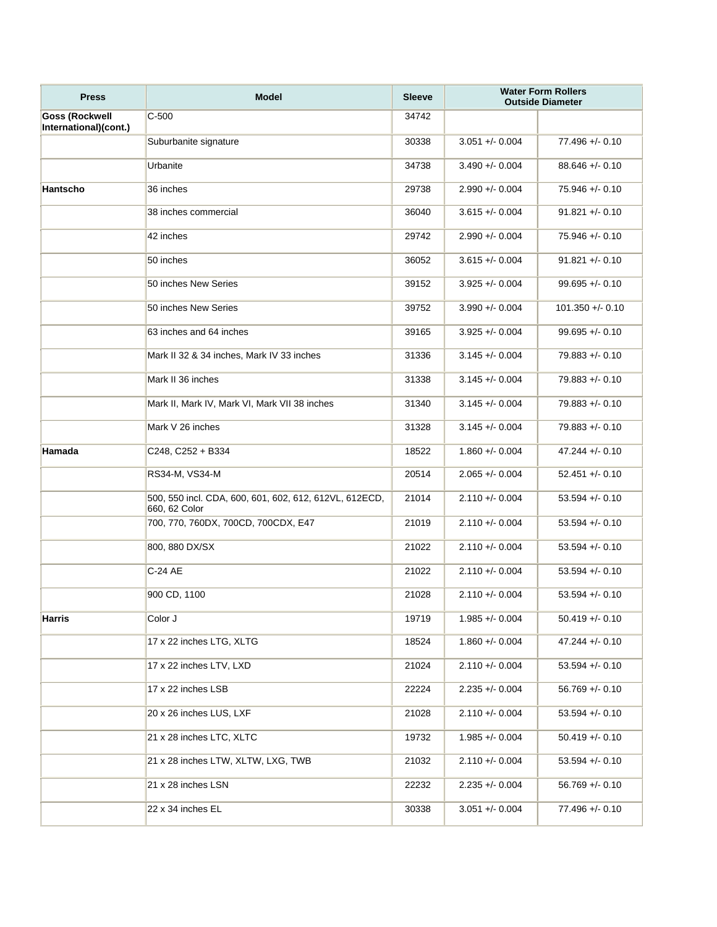| <b>Press</b>                                   | <b>Model</b>                                                            | <b>Sleeve</b> |                   | <b>Water Form Rollers</b><br><b>Outside Diameter</b> |
|------------------------------------------------|-------------------------------------------------------------------------|---------------|-------------------|------------------------------------------------------|
| <b>Goss (Rockwell</b><br>International)(cont.) | $C-500$                                                                 | 34742         |                   |                                                      |
|                                                | Suburbanite signature                                                   | 30338         | $3.051 +/- 0.004$ | $77.496 + - 0.10$                                    |
|                                                | Urbanite                                                                | 34738         | $3.490 + - 0.004$ | $88.646 + - 0.10$                                    |
| Hantscho                                       | 36 inches                                                               | 29738         | $2.990 + 0.004$   | 75.946 +/- 0.10                                      |
|                                                | 38 inches commercial                                                    | 36040         | $3.615 + - 0.004$ | $91.821 + - 0.10$                                    |
|                                                | 42 inches                                                               | 29742         | $2.990 + 0.004$   | $75.946 + - 0.10$                                    |
|                                                | 50 inches                                                               | 36052         | $3.615 + - 0.004$ | $91.821 + - 0.10$                                    |
|                                                | 50 inches New Series                                                    | 39152         | $3.925 + 0.004$   | $99.695 + - 0.10$                                    |
|                                                | 50 inches New Series                                                    | 39752         | $3.990 + 0.004$   | $101.350 + - 0.10$                                   |
|                                                | 63 inches and 64 inches                                                 | 39165         | $3.925 + 0.004$   | $99.695 + - 0.10$                                    |
|                                                | Mark II 32 & 34 inches, Mark IV 33 inches                               | 31336         | $3.145 + - 0.004$ | $79.883 + 0.10$                                      |
|                                                | Mark II 36 inches                                                       | 31338         | $3.145 + - 0.004$ | $79.883 + - 0.10$                                    |
|                                                | Mark II, Mark IV, Mark VI, Mark VII 38 inches                           | 31340         | $3.145 + - 0.004$ | $79.883 + 0.10$                                      |
|                                                | Mark V 26 inches                                                        | 31328         | $3.145 + - 0.004$ | $79.883 + 0.10$                                      |
| Hamada                                         | C248, C252 + B334                                                       | 18522         | $1.860 +/- 0.004$ | $47.244 + - 0.10$                                    |
|                                                | RS34-M, VS34-M                                                          | 20514         | $2.065 + - 0.004$ | $52.451 + - 0.10$                                    |
|                                                | 500, 550 incl. CDA, 600, 601, 602, 612, 612VL, 612ECD,<br>660, 62 Color | 21014         | $2.110 + 0.004$   | $53.594 + - 0.10$                                    |
|                                                | 700, 770, 760DX, 700CD, 700CDX, E47                                     | 21019         | $2.110 + 0.004$   | $53.594 + - 0.10$                                    |
|                                                | 800, 880 DX/SX                                                          | 21022         | $2.110 + 0.004$   | $53.594 + - 0.10$                                    |
|                                                | C-24 AE                                                                 | 21022         | $2.110 + 0.004$   | $53.594 + - 0.10$                                    |
|                                                | 900 CD, 1100                                                            | 21028         | $2.110 + - 0.004$ | $53.594 + - 0.10$                                    |
| <b>Harris</b>                                  | Color J                                                                 | 19719         | $1.985 + 0.004$   | $50.419 + - 0.10$                                    |
|                                                | 17 x 22 inches LTG, XLTG                                                | 18524         | $1.860 +/- 0.004$ | $47.244 + - 0.10$                                    |
|                                                | 17 x 22 inches LTV, LXD                                                 | 21024         | $2.110 + 0.004$   | $53.594 + - 0.10$                                    |
|                                                | 17 x 22 inches LSB                                                      | 22224         | $2.235 + 0.004$   | $56.769 + - 0.10$                                    |
|                                                | 20 x 26 inches LUS, LXF                                                 | 21028         | $2.110 + 0.004$   | $53.594 + - 0.10$                                    |
|                                                | 21 x 28 inches LTC, XLTC                                                | 19732         | $1.985 + 0.004$   | $50.419 + - 0.10$                                    |
|                                                | 21 x 28 inches LTW, XLTW, LXG, TWB                                      | 21032         | $2.110 + 0.004$   | $53.594 + - 0.10$                                    |
|                                                | 21 x 28 inches LSN                                                      | 22232         | $2.235 + 0.004$   | $56.769 + - 0.10$                                    |
|                                                | 22 x 34 inches EL                                                       | 30338         | $3.051 +/- 0.004$ | $77.496 + - 0.10$                                    |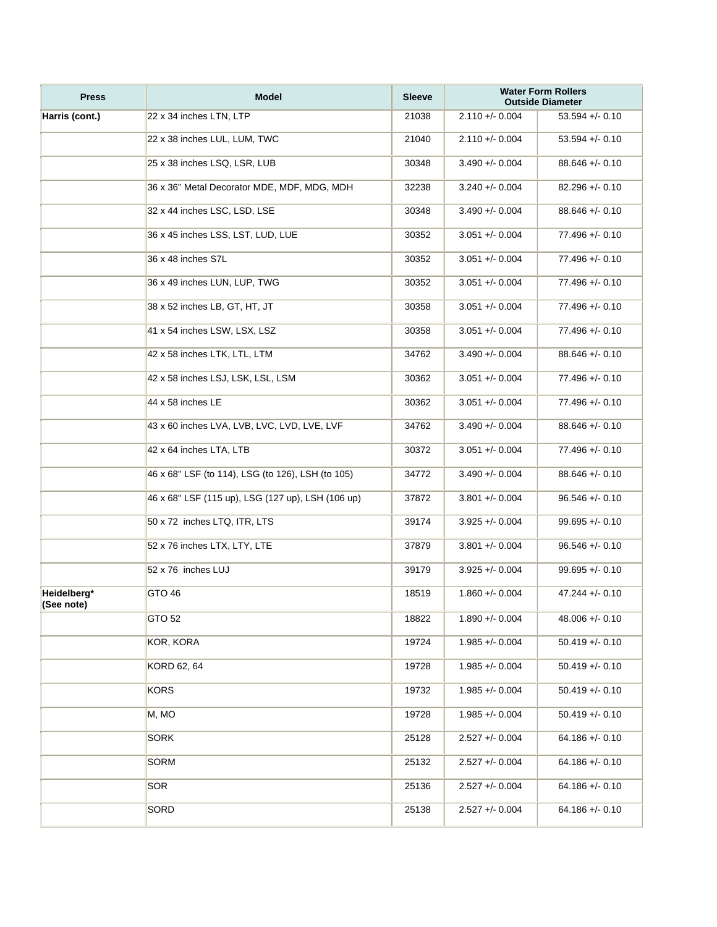| <b>Press</b>              | <b>Model</b>                                      | <b>Sleeve</b> |                   | <b>Water Form Rollers</b><br><b>Outside Diameter</b> |
|---------------------------|---------------------------------------------------|---------------|-------------------|------------------------------------------------------|
| Harris (cont.)            | 22 x 34 inches LTN, LTP                           | 21038         | $2.110 + - 0.004$ | $53.594 + - 0.10$                                    |
|                           | 22 x 38 inches LUL, LUM, TWC                      | 21040         | $2.110 + - 0.004$ | $53.594 + - 0.10$                                    |
|                           | 25 x 38 inches LSQ, LSR, LUB                      | 30348         | $3.490 +/- 0.004$ | $88.646 + - 0.10$                                    |
|                           | 36 x 36" Metal Decorator MDE, MDF, MDG, MDH       | 32238         | $3.240 + - 0.004$ | $82.296 + - 0.10$                                    |
|                           | 32 x 44 inches LSC, LSD, LSE                      | 30348         | $3.490 + - 0.004$ | $88.646 + - 0.10$                                    |
|                           | 36 x 45 inches LSS, LST, LUD, LUE                 | 30352         | $3.051 +/- 0.004$ | $77.496 + - 0.10$                                    |
|                           | 36 x 48 inches S7L                                | 30352         | $3.051 +/- 0.004$ | $77.496 + - 0.10$                                    |
|                           | 36 x 49 inches LUN, LUP, TWG                      | 30352         | $3.051 +/- 0.004$ | $77.496 + - 0.10$                                    |
|                           | 38 x 52 inches LB, GT, HT, JT                     | 30358         | $3.051 +/- 0.004$ | $77.496 + - 0.10$                                    |
|                           | 41 x 54 inches LSW, LSX, LSZ                      | 30358         | $3.051 +/- 0.004$ | $77.496 + - 0.10$                                    |
|                           | 42 x 58 inches LTK, LTL, LTM                      | 34762         | $3.490 +/- 0.004$ | $88.646 + - 0.10$                                    |
|                           | 42 x 58 inches LSJ, LSK, LSL, LSM                 | 30362         | $3.051 +/- 0.004$ | $77.496 + - 0.10$                                    |
|                           | 44 x 58 inches LE                                 | 30362         | $3.051 +/- 0.004$ | $77.496 + - 0.10$                                    |
|                           | 43 x 60 inches LVA, LVB, LVC, LVD, LVE, LVF       | 34762         | $3.490 +/- 0.004$ | $88.646 + - 0.10$                                    |
|                           | 42 x 64 inches LTA, LTB                           | 30372         | $3.051 +/- 0.004$ | $77.496 + - 0.10$                                    |
|                           | 46 x 68" LSF (to 114), LSG (to 126), LSH (to 105) | 34772         | $3.490 + - 0.004$ | $88.646 + - 0.10$                                    |
|                           | 46 x 68" LSF (115 up), LSG (127 up), LSH (106 up) | 37872         | $3.801 +/- 0.004$ | $96.546 + - 0.10$                                    |
|                           | 50 x 72 inches LTQ, ITR, LTS                      | 39174         | $3.925 + - 0.004$ | $99.695 + - 0.10$                                    |
|                           | 52 x 76 inches LTX, LTY, LTE                      | 37879         | $3.801 +/- 0.004$ | $96.546 + - 0.10$                                    |
|                           | 52 x 76 inches LUJ                                | 39179         | $3.925 + - 0.004$ | $99.695 + - 0.10$                                    |
| Heidelberg*<br>(See note) | GTO <sub>46</sub>                                 | 18519         | $1.860 +/- 0.004$ | $47.244 + - 0.10$                                    |
|                           | GTO 52                                            | 18822         | $1.890 +/- 0.004$ | $48.006 +/- 0.10$                                    |
|                           | KOR, KORA                                         | 19724         | $1.985 + 0.004$   | $50.419 + - 0.10$                                    |
|                           | KORD 62, 64                                       | 19728         | $1.985 + 0.004$   | $50.419 + - 0.10$                                    |
|                           | <b>KORS</b>                                       | 19732         | $1.985 + 0.004$   | $50.419 + - 0.10$                                    |
|                           | M, MO                                             | 19728         | $1.985 + 0.004$   | $50.419 + - 0.10$                                    |
|                           | <b>SORK</b>                                       | 25128         | $2.527 + - 0.004$ | $64.186 + - 0.10$                                    |
|                           | <b>SORM</b>                                       | 25132         | $2.527 + 0.004$   | $64.186 + - 0.10$                                    |
|                           | <b>SOR</b>                                        | 25136         | $2.527 + 0.004$   | $64.186 + (-0.10)$                                   |
|                           | SORD                                              | 25138         | $2.527 + - 0.004$ | $64.186 + - 0.10$                                    |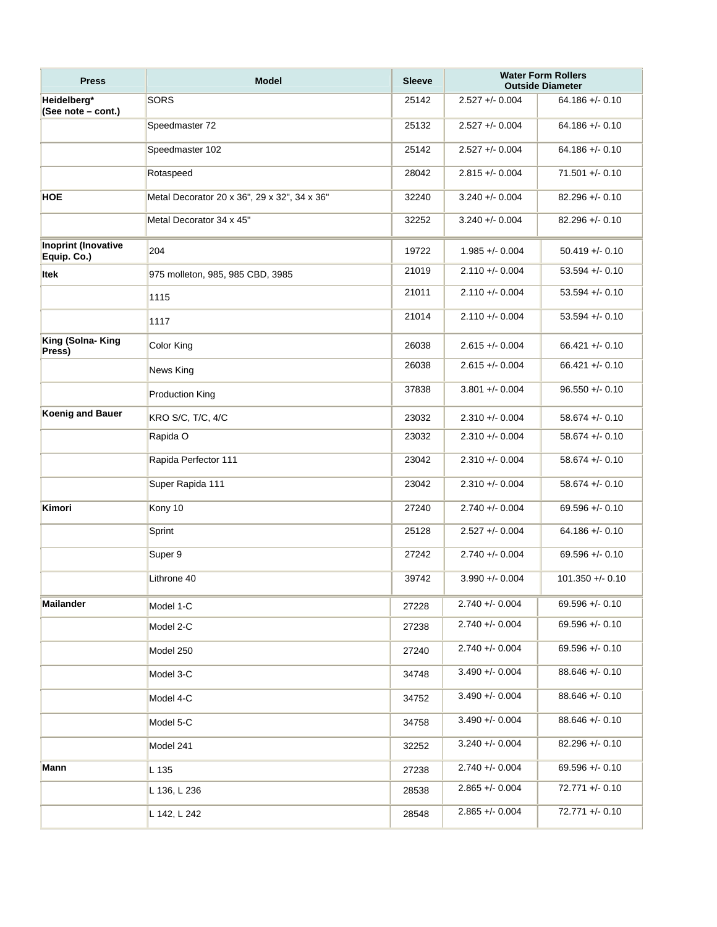| <b>Press</b>                              | <b>Model</b>                                 | <b>Sleeve</b> |                    | <b>Water Form Rollers</b><br><b>Outside Diameter</b> |
|-------------------------------------------|----------------------------------------------|---------------|--------------------|------------------------------------------------------|
| Heidelberg*<br>(See note - cont.)         | <b>SORS</b>                                  | 25142         | $2.527 + 0.004$    | $64.186 + (-0.10)$                                   |
|                                           | Speedmaster 72                               | 25132         | $2.527 + 0.004$    | $64.186 + (-0.10)$                                   |
|                                           | Speedmaster 102                              | 25142         | $2.527 + 0.004$    | $64.186 + (-0.10)$                                   |
|                                           | Rotaspeed                                    | 28042         | $2.815 + 0.004$    | $71.501 + - 0.10$                                    |
| <b>HOE</b>                                | Metal Decorator 20 x 36", 29 x 32", 34 x 36" | 32240         | $3.240 + (-0.004)$ | $82.296 + 0.10$                                      |
|                                           | Metal Decorator 34 x 45"                     | 32252         | $3.240 + - 0.004$  | $82.296 + - 0.10$                                    |
| <b>Inoprint (Inovative</b><br>Equip. Co.) | 204                                          | 19722         | $1.985 + 0.004$    | $50.419 + - 0.10$                                    |
| <b>Itek</b>                               | 975 molleton, 985, 985 CBD, 3985             | 21019         | $2.110 + 0.004$    | $53.594 + - 0.10$                                    |
|                                           | 1115                                         | 21011         | $2.110 + 0.004$    | $53.594 + - 0.10$                                    |
|                                           | 1117                                         | 21014         | $2.110 + - 0.004$  | $53.594 + - 0.10$                                    |
| King (Solna- King<br>Press)               | Color King                                   | 26038         | $2.615 + - 0.004$  | $66.421 + - 0.10$                                    |
|                                           | News King                                    | 26038         | $2.615 + - 0.004$  | $66.421 + (-0.10)$                                   |
|                                           | <b>Production King</b>                       | 37838         | $3.801 +/- 0.004$  | $96.550 + - 0.10$                                    |
| <b>Koenig and Bauer</b>                   | <b>KRO S/C, T/C, 4/C</b>                     | 23032         | $2.310 + - 0.004$  | $58.674 + - 0.10$                                    |
|                                           | Rapida O                                     | 23032         | $2.310 + 0.004$    | $58.674 + - 0.10$                                    |
|                                           | Rapida Perfector 111                         | 23042         | $2.310 + 0.004$    | $58.674 + - 0.10$                                    |
|                                           | Super Rapida 111                             | 23042         | $2.310 + - 0.004$  | $58.674 + - 0.10$                                    |
| Kimori                                    | Kony 10                                      | 27240         | $2.740 +/- 0.004$  | $69.596 + - 0.10$                                    |
|                                           | Sprint                                       | 25128         | $2.527 + - 0.004$  | $64.186 + (-0.10)$                                   |
|                                           | Super 9                                      | 27242         | $2.740 + - 0.004$  | $69.596 + - 0.10$                                    |
|                                           | Lithrone 40                                  | 39742         | $3.990 +/- 0.004$  | $101.350 + - 0.10$                                   |
| <b>Mailander</b>                          | Model 1-C                                    | 27228         | $2.740 + - 0.004$  | $69.596 + - 0.10$                                    |
|                                           | Model 2-C                                    | 27238         | $2.740 + - 0.004$  | $69.596 + - 0.10$                                    |
|                                           | Model 250                                    | 27240         | $2.740 + - 0.004$  | $69.596 + - 0.10$                                    |
|                                           | Model 3-C                                    | 34748         | $3.490 + - 0.004$  | $88.646 + - 0.10$                                    |
|                                           | Model 4-C                                    | 34752         | $3.490 + - 0.004$  | $88.646 + - 0.10$                                    |
|                                           | Model 5-C                                    | 34758         | $3.490 + - 0.004$  | $88.646 +/- 0.10$                                    |
|                                           | Model 241                                    | 32252         | $3.240 + - 0.004$  | $82.296 + - 0.10$                                    |
| Mann                                      | L 135                                        | 27238         | $2.740 + - 0.004$  | $69.596 + - 0.10$                                    |
|                                           | L 136, L 236                                 | 28538         | $2.865 + 0.004$    | $72.771 +/- 0.10$                                    |
|                                           | L 142, L 242                                 | 28548         | $2.865 + - 0.004$  | 72.771 +/- 0.10                                      |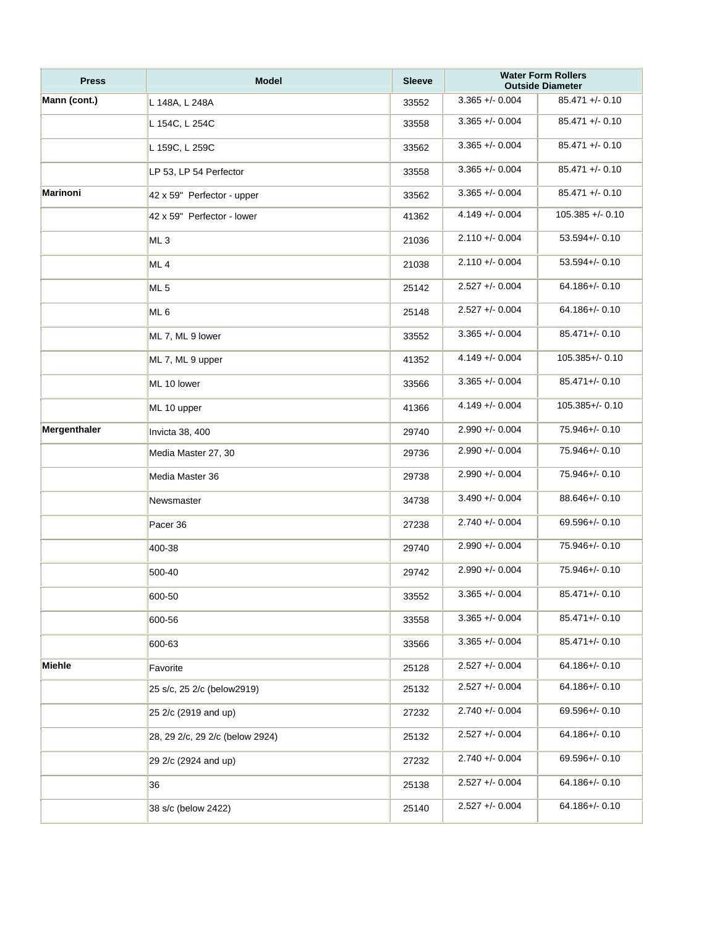| <b>Press</b> | <b>Model</b>                    | <b>Sleeve</b> |                   | <b>Water Form Rollers</b><br><b>Outside Diameter</b> |
|--------------|---------------------------------|---------------|-------------------|------------------------------------------------------|
| Mann (cont.) | L 148A, L 248A                  | 33552         | $3.365 + 0.004$   | $85.471 +/- 0.10$                                    |
|              | L 154C, L 254C                  | 33558         | $3.365 +/- 0.004$ | $85.471 +/- 0.10$                                    |
|              | L 159C, L 259C                  | 33562         | $3.365 + - 0.004$ | $85.471 +/- 0.10$                                    |
|              | LP 53, LP 54 Perfector          | 33558         | $3.365 +/- 0.004$ | $85.471 +/- 0.10$                                    |
| Marinoni     | 42 x 59" Perfector - upper      | 33562         | $3.365 + 0.004$   | $85.471 +/- 0.10$                                    |
|              | 42 x 59" Perfector - lower      | 41362         | $4.149 + - 0.004$ | $105.385 + - 0.10$                                   |
|              | ML <sub>3</sub>                 | 21036         | $2.110 +/- 0.004$ | $53.594 +/- 0.10$                                    |
|              | ML <sub>4</sub>                 | 21038         | $2.110 + 0.004$   | $53.594 +/- 0.10$                                    |
|              | ML <sub>5</sub>                 | 25142         | $2.527 + - 0.004$ | $64.186 + / - 0.10$                                  |
|              | ML <sub>6</sub>                 | 25148         | $2.527 + 0.004$   | $64.186 + / - 0.10$                                  |
|              | ML 7, ML 9 lower                | 33552         | $3.365 + 0.004$   | $85.471 +/- 0.10$                                    |
|              | ML 7, ML 9 upper                | 41352         | $4.149 + - 0.004$ | $105.385 + / - 0.10$                                 |
|              | ML 10 lower                     | 33566         | $3.365 +/- 0.004$ | $85.471 +/- 0.10$                                    |
|              | ML 10 upper                     | 41366         | $4.149 + - 0.004$ | $105.385 + / - 0.10$                                 |
| Mergenthaler | Invicta 38, 400                 | 29740         | $2.990 + 0.004$   | 75.946+/-0.10                                        |
|              | Media Master 27, 30             | 29736         | $2.990 + 0.004$   | 75.946+/- 0.10                                       |
|              | Media Master 36                 | 29738         | $2.990 + 0.004$   | 75.946+/- 0.10                                       |
|              | Newsmaster                      | 34738         | $3.490 + - 0.004$ | $88.646 + / - 0.10$                                  |
|              | Pacer 36                        | 27238         | $2.740 + - 0.004$ | 69.596+/-0.10                                        |
|              | 400-38                          | 29740         | $2.990 +/- 0.004$ | 75.946+/- 0.10                                       |
|              | 500-40                          | 29742         | $2.990 + 0.004$   | 75.946+/-0.10                                        |
|              | 600-50                          | 33552         | $3.365 + - 0.004$ | 85.471+/- 0.10                                       |
|              | 600-56                          | 33558         | $3.365 + 0.004$   | $85.471 +/- 0.10$                                    |
|              | 600-63                          | 33566         | $3.365 + - 0.004$ | $85.471 +/- 0.10$                                    |
| Miehle       | Favorite                        | 25128         | $2.527 + - 0.004$ | $64.186 + / - 0.10$                                  |
|              | 25 s/c, 25 2/c (below2919)      | 25132         | $2.527 + - 0.004$ | 64.186+/-0.10                                        |
|              | 25 2/c (2919 and up)            | 27232         | $2.740 + - 0.004$ | 69.596+/- 0.10                                       |
|              | 28, 29 2/c, 29 2/c (below 2924) | 25132         | $2.527 + - 0.004$ | $64.186 +/- 0.10$                                    |
|              | 29 2/c (2924 and up)            | 27232         | $2.740 + - 0.004$ | 69.596+/-0.10                                        |
|              | 36                              | 25138         | $2.527 + - 0.004$ | $64.186 +/- 0.10$                                    |
|              | 38 s/c (below 2422)             | 25140         | $2.527 + - 0.004$ | 64.186+/-0.10                                        |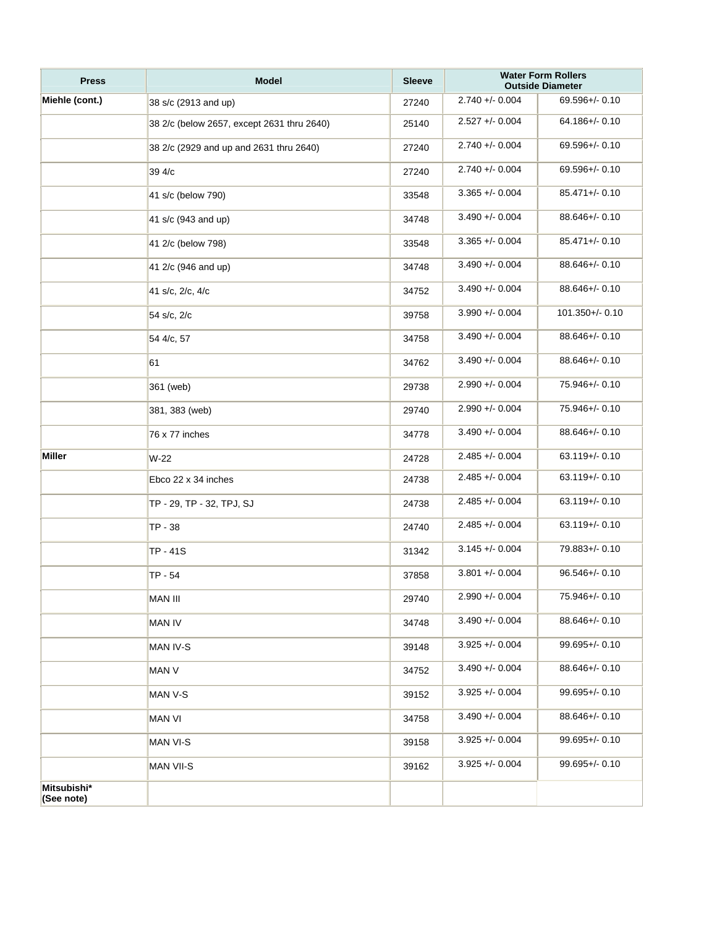| <b>Press</b>              | <b>Model</b>                               | <b>Sleeve</b> |                    | <b>Water Form Rollers</b><br><b>Outside Diameter</b> |
|---------------------------|--------------------------------------------|---------------|--------------------|------------------------------------------------------|
| Miehle (cont.)            | 38 s/c (2913 and up)                       | 27240         | $2.740 + - 0.004$  | 69.596+/- 0.10                                       |
|                           | 38 2/c (below 2657, except 2631 thru 2640) | 25140         | $2.527 + - 0.004$  | 64.186+/-0.10                                        |
|                           | 38 2/c (2929 and up and 2631 thru 2640)    | 27240         | $2.740 + - 0.004$  | 69.596+/- 0.10                                       |
|                           | 39 4/c                                     | 27240         | $2.740 + - 0.004$  | 69.596+/- 0.10                                       |
|                           | 41 s/c (below 790)                         | 33548         | $3.365 + - 0.004$  | $85.471 +/- 0.10$                                    |
|                           | 41 s/c (943 and up)                        | 34748         | $3.490 + (-0.004)$ | $88.646 + / - 0.10$                                  |
|                           | 41 2/c (below 798)                         | 33548         | $3.365 + - 0.004$  | $85.471 +/- 0.10$                                    |
|                           | 41 2/c (946 and up)                        | 34748         | $3.490 + - 0.004$  | 88.646+/- 0.10                                       |
|                           | 41 s/c, 2/c, 4/c                           | 34752         | $3.490 + - 0.004$  | $88.646 + / - 0.10$                                  |
|                           | 54 s/c, 2/c                                | 39758         | $3.990 + - 0.004$  | $101.350 + / - 0.10$                                 |
|                           | 54 4/c, 57                                 | 34758         | $3.490 + - 0.004$  | $88.646 + / - 0.10$                                  |
|                           | 61                                         | 34762         | $3.490 + - 0.004$  | 88.646+/- 0.10                                       |
|                           | 361 (web)                                  | 29738         | $2.990 + 0.004$    | 75.946+/- 0.10                                       |
|                           | 381, 383 (web)                             | 29740         | $2.990 + - 0.004$  | 75.946+/- 0.10                                       |
|                           | 76 x 77 inches                             | 34778         | $3.490 + - 0.004$  | 88.646+/-0.10                                        |
| <b>Miller</b>             | $W-22$                                     | 24728         | $2.485 + 0.004$    | $63.119 + / - 0.10$                                  |
|                           | Ebco 22 x 34 inches                        | 24738         | $2.485 + - 0.004$  | $63.119 + / - 0.10$                                  |
|                           | TP - 29, TP - 32, TPJ, SJ                  | 24738         | $2.485 + - 0.004$  | $63.119 + / - 0.10$                                  |
|                           | TP - 38                                    | 24740         | $2.485 + - 0.004$  | $63.119 + / - 0.10$                                  |
|                           | TP - 41S                                   | 31342         | $3.145 + (-0.004)$ | 79.883+/- 0.10                                       |
|                           | TP - 54                                    | 37858         | $3.801 +/- 0.004$  | $96.546 + / - 0.10$                                  |
|                           | <b>MAN III</b>                             | 29740         | $2.990 +/- 0.004$  | 75.946+/- 0.10                                       |
|                           | <b>MAN IV</b>                              | 34748         | $3.490 + - 0.004$  | $88.646 + / - 0.10$                                  |
|                           | MAN IV-S                                   | 39148         | $3.925 + - 0.004$  | $99.695 + / - 0.10$                                  |
|                           | MAN V                                      | 34752         | $3.490 + - 0.004$  | $88.646 + / - 0.10$                                  |
|                           | MAN V-S                                    | 39152         | $3.925 + - 0.004$  | $99.695 + / - 0.10$                                  |
|                           | <b>MAN VI</b>                              | 34758         | $3.490 + - 0.004$  | 88.646+/- 0.10                                       |
|                           | MAN VI-S                                   | 39158         | $3.925 + - 0.004$  | $99.695 + / - 0.10$                                  |
|                           | MAN VII-S                                  | 39162         | $3.925 + - 0.004$  | $99.695 + / - 0.10$                                  |
| Mitsubishi*<br>(See note) |                                            |               |                    |                                                      |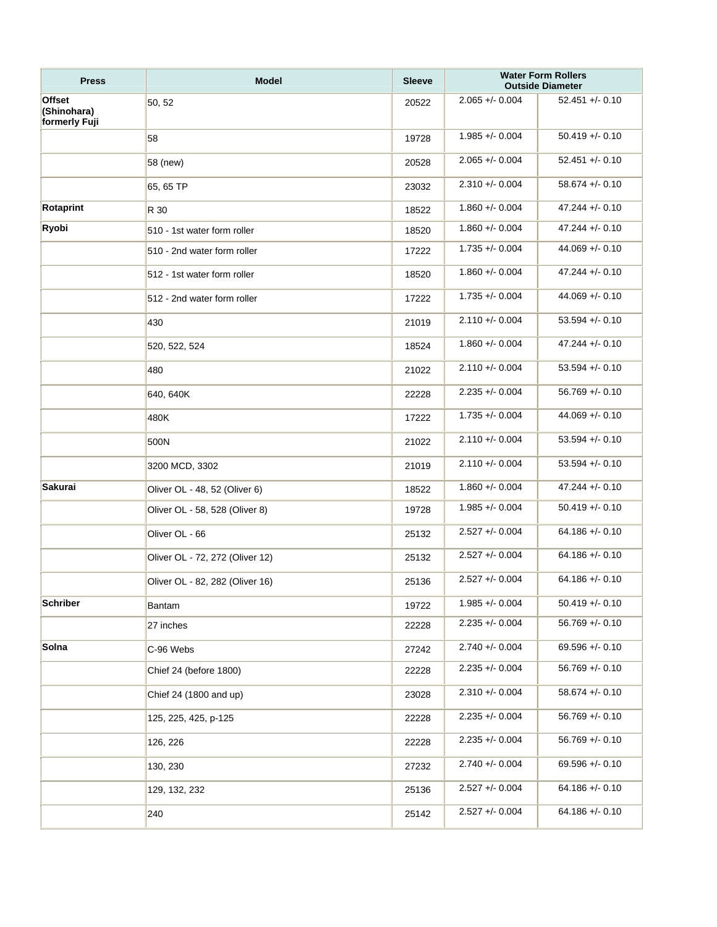| <b>Press</b>                           | <b>Model</b>                    | <b>Sleeve</b> |                   | <b>Water Form Rollers</b><br><b>Outside Diameter</b> |
|----------------------------------------|---------------------------------|---------------|-------------------|------------------------------------------------------|
| Offset<br>(Shinohara)<br>formerly Fuji | 50, 52                          | 20522         | $2.065 + - 0.004$ | $52.451 + (-0.10)$                                   |
|                                        | 58                              | 19728         | $1.985 + 0.004$   | $50.419 + - 0.10$                                    |
|                                        | 58 (new)                        | 20528         | $2.065 + - 0.004$ | $52.451 + (-0.10)$                                   |
|                                        | 65, 65 TP                       | 23032         | $2.310 + 0.004$   | $58.674 + - 0.10$                                    |
| Rotaprint                              | R 30                            | 18522         | $1.860 + 0.004$   | $47.244 + - 0.10$                                    |
| Ryobi                                  | 510 - 1st water form roller     | 18520         | $1.860 + 0.004$   | $47.244 + - 0.10$                                    |
|                                        | 510 - 2nd water form roller     | 17222         | $1.735 + 0.004$   | $44.069 + - 0.10$                                    |
|                                        | 512 - 1st water form roller     | 18520         | $1.860 +/- 0.004$ | $47.244 + (-0.10)$                                   |
|                                        | 512 - 2nd water form roller     | 17222         | $1.735 + 0.004$   | $44.069 + - 0.10$                                    |
|                                        | 430                             | 21019         | $2.110 + 0.004$   | $53.594 + - 0.10$                                    |
|                                        | 520, 522, 524                   | 18524         | $1.860 +/- 0.004$ | $47.244 + (-0.10)$                                   |
|                                        | 480                             | 21022         | $2.110 + 0.004$   | $53.594 + - 0.10$                                    |
|                                        | 640, 640K                       | 22228         | $2.235 + 0.004$   | $56.769 + - 0.10$                                    |
|                                        | 480K                            | 17222         | $1.735 + 0.004$   | $44.069 + - 0.10$                                    |
|                                        | 500N                            | 21022         | $2.110 + 0.004$   | $53.594 + - 0.10$                                    |
|                                        | 3200 MCD, 3302                  | 21019         | $2.110 + 0.004$   | $53.594 + - 0.10$                                    |
| Sakurai                                | Oliver OL - 48, 52 (Oliver 6)   | 18522         | $1.860 + 0.004$   | $47.244 + - 0.10$                                    |
|                                        | Oliver OL - 58, 528 (Oliver 8)  | 19728         | $1.985 + 0.004$   | $50.419 + - 0.10$                                    |
|                                        | Oliver OL - 66                  | 25132         | $2.527 + - 0.004$ | $64.186 + - 0.10$                                    |
|                                        | Oliver OL - 72, 272 (Oliver 12) | 25132         | $2.527 + 0.004$   | $64.186 + (-0.10)$                                   |
|                                        | Oliver OL - 82, 282 (Oliver 16) | 25136         | $2.527 + 0.004$   | $64.186 + - 0.10$                                    |
| <b>Schriber</b>                        | Bantam                          | 19722         | $1.985 + 0.004$   | $50.419 + - 0.10$                                    |
|                                        | 27 inches                       | 22228         | $2.235 + 0.004$   | $56.769 + - 0.10$                                    |
| Solna                                  | C-96 Webs                       | 27242         | $2.740 + - 0.004$ | $69.596 +/- 0.10$                                    |
|                                        | Chief 24 (before 1800)          | 22228         | $2.235 + 0.004$   | $56.769 + - 0.10$                                    |
|                                        | Chief 24 (1800 and up)          | 23028         | $2.310 + - 0.004$ | $58.674 +/- 0.10$                                    |
|                                        | 125, 225, 425, p-125            | 22228         | $2.235 + 0.004$   | $56.769 + - 0.10$                                    |
|                                        | 126, 226                        | 22228         | $2.235 + 0.004$   | $56.769 + - 0.10$                                    |
|                                        | 130, 230                        | 27232         | $2.740 + 0.004$   | $69.596 + - 0.10$                                    |
|                                        | 129, 132, 232                   | 25136         | $2.527 + - 0.004$ | $64.186 + (-0.10)$                                   |
|                                        | 240                             | 25142         | $2.527 + - 0.004$ | $64.186 + (-0.10)$                                   |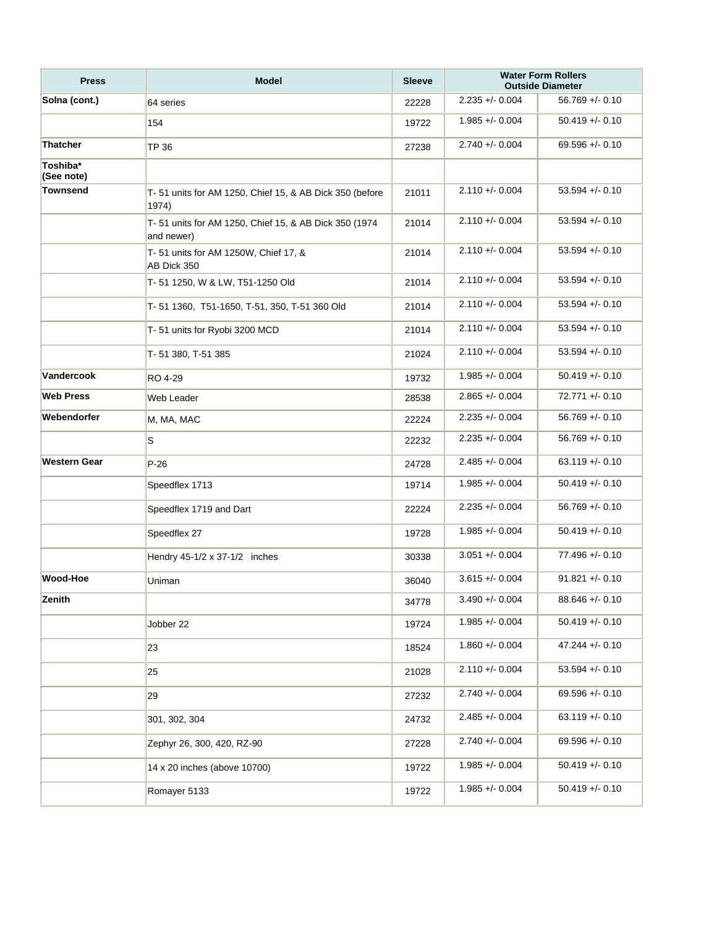| <b>Press</b>           | <b>Model</b>                                                        | <b>Sleeve</b> |                    | <b>Water Form Rollers</b><br><b>Outside Diameter</b> |
|------------------------|---------------------------------------------------------------------|---------------|--------------------|------------------------------------------------------|
| Solna (cont.)          | 64 series                                                           | 22228         | $2.235 + 0.004$    | $56.769 + - 0.10$                                    |
|                        | 154                                                                 | 19722         | $1.985 + 0.004$    | $50.419 + - 0.10$                                    |
| <b>Thatcher</b>        | <b>TP 36</b>                                                        | 27238         | $2.740 + - 0.004$  | $69.596 + - 0.10$                                    |
| Toshiba*<br>(See note) |                                                                     |               |                    |                                                      |
| Townsend               | T-51 units for AM 1250, Chief 15, & AB Dick 350 (before<br>1974)    | 21011         | $2.110 + 0.004$    | $53.594 + - 0.10$                                    |
|                        | T-51 units for AM 1250, Chief 15, & AB Dick 350 (1974<br>and newer) | 21014         | $2.110 + 0.004$    | $53.594 + - 0.10$                                    |
|                        | T-51 units for AM 1250W, Chief 17, &<br>AB Dick 350                 | 21014         | $2.110 + - 0.004$  | $53.594 + - 0.10$                                    |
|                        | T-51 1250, W & LW, T51-1250 Old                                     | 21014         | $2.110 + - 0.004$  | $53.594 + - 0.10$                                    |
|                        | T-51 1360, T51-1650, T-51, 350, T-51 360 Old                        | 21014         | $2.110 + 0.004$    | $53.594 + - 0.10$                                    |
|                        | T-51 units for Ryobi 3200 MCD                                       | 21014         | $2.110 + - 0.004$  | $53.594 + - 0.10$                                    |
|                        | T-51 380, T-51 385                                                  | 21024         | $2.110 + - 0.004$  | $53.594 + - 0.10$                                    |
| Vandercook             | RO 4-29                                                             | 19732         | $1.985 + 0.004$    | $50.419 + - 0.10$                                    |
| <b>Web Press</b>       | Web Leader                                                          | 28538         | $2.865 + - 0.004$  | $72.771 + - 0.10$                                    |
| Webendorfer            | M, MA, MAC                                                          | 22224         | $2.235 + 0.004$    | $56.769 + - 0.10$                                    |
|                        | S                                                                   | 22232         | $2.235 + 0.004$    | $56.769 + - 0.10$                                    |
| Western Gear           | $P-26$                                                              | 24728         | $2.485 + - 0.004$  | $63.119 + - 0.10$                                    |
|                        | Speedflex 1713                                                      | 19714         | $1.985 + 0.004$    | $50.419 + - 0.10$                                    |
|                        | Speedflex 1719 and Dart                                             | 22224         | $2.235 + 0.004$    | $56.769 + - 0.10$                                    |
|                        | Speedflex 27                                                        | 19728         | $1.985 + 0.004$    | $50.419 + - 0.10$                                    |
|                        | Hendry 45-1/2 x 37-1/2 inches                                       | 30338         | $3.051 + - 0.004$  | $77.496 + - 0.10$                                    |
| Wood-Hoe               | Uniman                                                              | 36040         | $3.615 + (-0.004)$ | $91.821 + - 0.10$                                    |
| Zenith                 |                                                                     | 34778         | $3.490 + - 0.004$  | $88.646 + - 0.10$                                    |
|                        | Jobber 22                                                           | 19724         | $1.985 + - 0.004$  | $50.419 + - 0.10$                                    |
|                        | 23                                                                  | 18524         | $1.860 + - 0.004$  | $47.244 + (-0.10)$                                   |
|                        | 25                                                                  | 21028         | $2.110 + - 0.004$  | $53.594 +/- 0.10$                                    |
|                        | 29                                                                  | 27232         | $2.740 + - 0.004$  | $69.596 + - 0.10$                                    |
|                        | 301, 302, 304                                                       | 24732         | $2.485 + - 0.004$  | $63.119 + - 0.10$                                    |
|                        | Zephyr 26, 300, 420, RZ-90                                          | 27228         | $2.740 + - 0.004$  | $69.596 + - 0.10$                                    |
|                        | 14 x 20 inches (above 10700)                                        | 19722         | $1.985 + - 0.004$  | $50.419 + - 0.10$                                    |
|                        | Romayer 5133                                                        | 19722         | $1.985 + - 0.004$  | $50.419 + - 0.10$                                    |